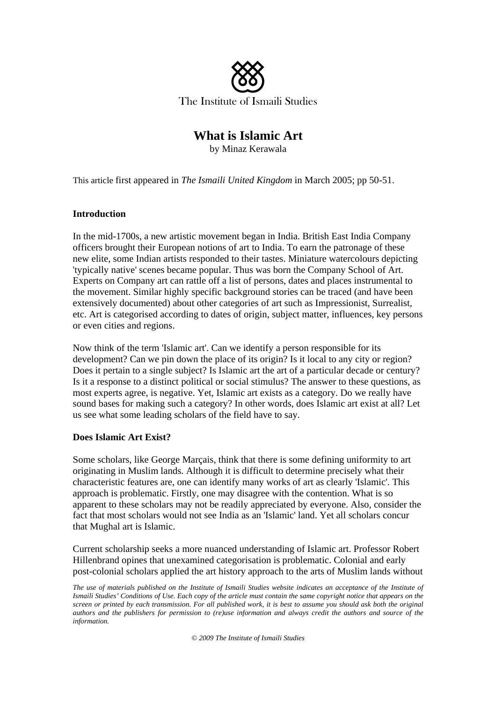

# **What is Islamic Art**

by Minaz Kerawala

This article first appeared in *The Ismaili United Kingdom* in March 2005; pp 50-51.

### **Introduction**

In the mid-1700s, a new artistic movement began in India. British East India Company officers brought their European notions of art to India. To earn the patronage of these new elite, some Indian artists responded to their tastes. Miniature watercolours depicting 'typically native' scenes became popular. Thus was born the Company School of Art. Experts on Company art can rattle off a list of persons, dates and places instrumental to the movement. Similar highly specific background stories can be traced (and have been extensively documented) about other categories of art such as Impressionist, Surrealist, etc. Art is categorised according to dates of origin, subject matter, influences, key persons or even cities and regions.

Now think of the term 'Islamic art'. Can we identify a person responsible for its development? Can we pin down the place of its origin? Is it local to any city or region? Does it pertain to a single subject? Is Islamic art the art of a particular decade or century? Is it a response to a distinct political or social stimulus? The answer to these questions, as most experts agree, is negative. Yet, Islamic art exists as a category. Do we really have sound bases for making such a category? In other words, does Islamic art exist at all? Let us see what some leading scholars of the field have to say.

# **Does Islamic Art Exist?**

Some scholars, like George Marçais, think that there is some defining uniformity to art originating in Muslim lands. Although it is difficult to determine precisely what their characteristic features are, one can identify many works of art as clearly 'Islamic'. This approach is problematic. Firstly, one may disagree with the contention. What is so apparent to these scholars may not be readily appreciated by everyone. Also, consider the fact that most scholars would not see India as an 'Islamic' land. Yet all scholars concur that Mughal art is Islamic.

Current scholarship seeks a more nuanced understanding of Islamic art. Professor Robert Hillenbrand opines that unexamined categorisation is problematic. Colonial and early post-colonial scholars applied the art history approach to the arts of Muslim lands without

*The use of materials published on the Institute of Ismaili Studies website indicates an acceptance of the Institute of Ismaili Studies' Conditions of Use. Each copy of the article must contain the same copyright notice that appears on the screen or printed by each transmission. For all published work, it is best to assume you should ask both the original authors and the publishers for permission to (re)use information and always credit the authors and source of the information.* 

*© 2009 The Institute of Ismaili Studies*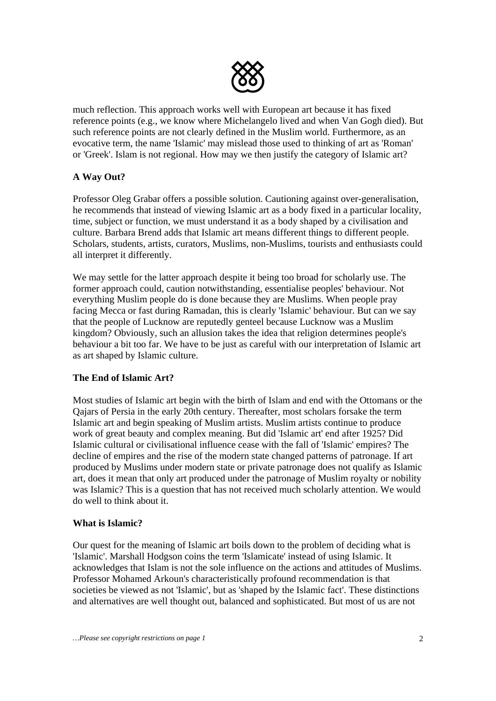

much reflection. This approach works well with European art because it has fixed reference points (e.g., we know where Michelangelo lived and when Van Gogh died). But such reference points are not clearly defined in the Muslim world. Furthermore, as an evocative term, the name 'Islamic' may mislead those used to thinking of art as 'Roman' or 'Greek'. Islam is not regional. How may we then justify the category of Islamic art?

# **A Way Out?**

Professor Oleg Grabar offers a possible solution. Cautioning against over-generalisation, he recommends that instead of viewing Islamic art as a body fixed in a particular locality, time, subject or function, we must understand it as a body shaped by a civilisation and culture. Barbara Brend adds that Islamic art means different things to different people. Scholars, students, artists, curators, Muslims, non-Muslims, tourists and enthusiasts could all interpret it differently.

We may settle for the latter approach despite it being too broad for scholarly use. The former approach could, caution notwithstanding, essentialise peoples' behaviour. Not everything Muslim people do is done because they are Muslims. When people pray facing Mecca or fast during Ramadan, this is clearly 'Islamic' behaviour. But can we say that the people of Lucknow are reputedly genteel because Lucknow was a Muslim kingdom? Obviously, such an allusion takes the idea that religion determines people's behaviour a bit too far. We have to be just as careful with our interpretation of Islamic art as art shaped by Islamic culture.

# **The End of Islamic Art?**

Most studies of Islamic art begin with the birth of Islam and end with the Ottomans or the Qajars of Persia in the early 20th century. Thereafter, most scholars forsake the term Islamic art and begin speaking of Muslim artists. Muslim artists continue to produce work of great beauty and complex meaning. But did 'Islamic art' end after 1925? Did Islamic cultural or civilisational influence cease with the fall of 'Islamic' empires? The decline of empires and the rise of the modern state changed patterns of patronage. If art produced by Muslims under modern state or private patronage does not qualify as Islamic art, does it mean that only art produced under the patronage of Muslim royalty or nobility was Islamic? This is a question that has not received much scholarly attention. We would do well to think about it.

# **What is Islamic?**

Our quest for the meaning of Islamic art boils down to the problem of deciding what is 'Islamic'. Marshall Hodgson coins the term 'Islamicate' instead of using Islamic. It acknowledges that Islam is not the sole influence on the actions and attitudes of Muslims. Professor Mohamed Arkoun's characteristically profound recommendation is that societies be viewed as not 'Islamic', but as 'shaped by the Islamic fact'. These distinctions and alternatives are well thought out, balanced and sophisticated. But most of us are not